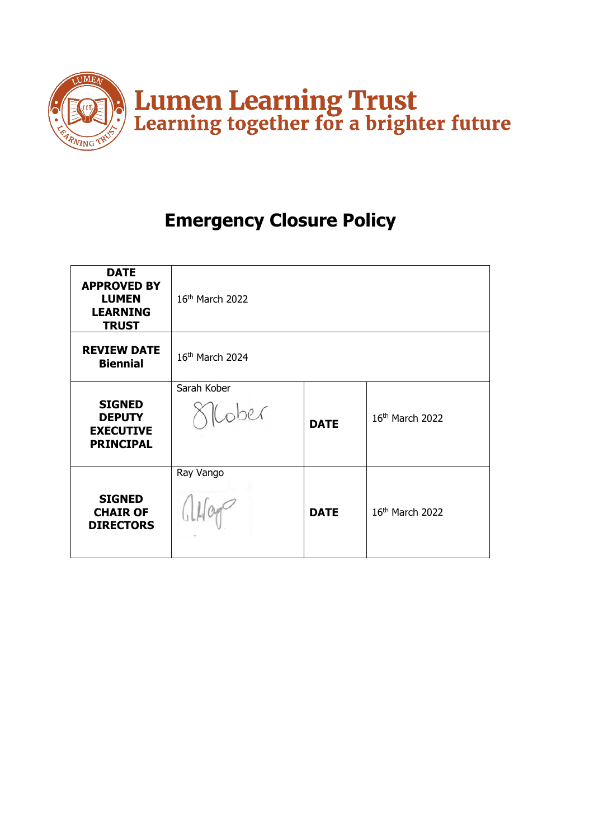

# **Emergency Closure Policy**

| <b>DATE</b><br><b>APPROVED BY</b><br><b>LUMEN</b><br><b>LEARNING</b><br><b>TRUST</b> | 16 <sup>th</sup> March 2022 |             |                             |
|--------------------------------------------------------------------------------------|-----------------------------|-------------|-----------------------------|
| <b>REVIEW DATE</b><br><b>Biennial</b>                                                | 16th March 2024             |             |                             |
| <b>SIGNED</b><br><b>DEPUTY</b><br><b>EXECUTIVE</b><br><b>PRINCIPAL</b>               | Sarah Kober<br>llober       | <b>DATE</b> | 16 <sup>th</sup> March 2022 |
| <b>SIGNED</b><br><b>CHAIR OF</b><br><b>DIRECTORS</b>                                 | Ray Vango                   | <b>DATE</b> | 16th March 2022             |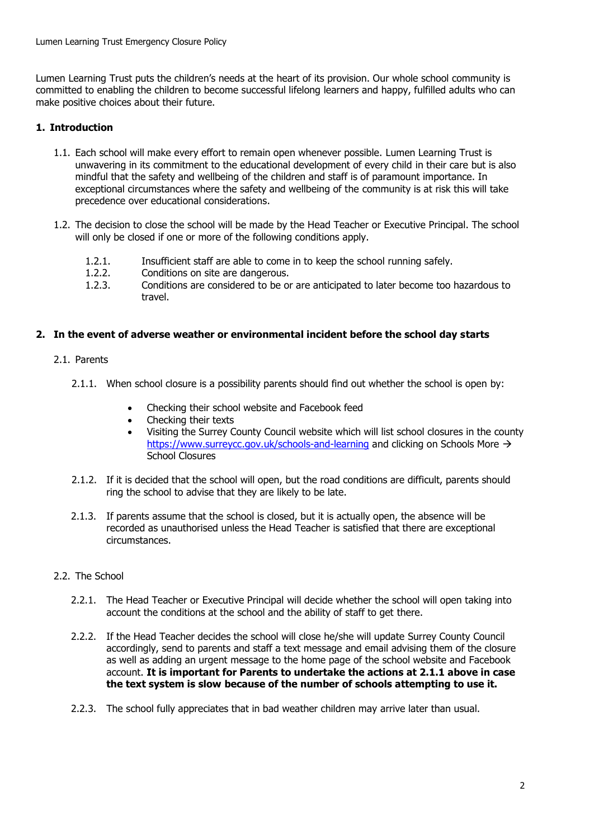Lumen Learning Trust puts the children's needs at the heart of its provision. Our whole school community is committed to enabling the children to become successful lifelong learners and happy, fulfilled adults who can make positive choices about their future.

## **1. Introduction**

- 1.1. Each school will make every effort to remain open whenever possible. Lumen Learning Trust is unwavering in its commitment to the educational development of every child in their care but is also mindful that the safety and wellbeing of the children and staff is of paramount importance. In exceptional circumstances where the safety and wellbeing of the community is at risk this will take precedence over educational considerations.
- 1.2. The decision to close the school will be made by the Head Teacher or Executive Principal. The school will only be closed if one or more of the following conditions apply.
	- 1.2.1. Insufficient staff are able to come in to keep the school running safely.
	- 1.2.2. Conditions on site are dangerous.
	- 1.2.3. Conditions are considered to be or are anticipated to later become too hazardous to travel.

## **2. In the event of adverse weather or environmental incident before the school day starts**

## 2.1. Parents

- 2.1.1. When school closure is a possibility parents should find out whether the school is open by:
	- Checking their school website and Facebook feed
	- Checking their texts
	- Visiting the Surrey County Council website which will list school closures in the county <https://www.surreycc.gov.uk/schools-and-learning> and clicking on Schools More → School Closures
- 2.1.2. If it is decided that the school will open, but the road conditions are difficult, parents should ring the school to advise that they are likely to be late.
- 2.1.3. If parents assume that the school is closed, but it is actually open, the absence will be recorded as unauthorised unless the Head Teacher is satisfied that there are exceptional circumstances.

## 2.2. The School

- 2.2.1. The Head Teacher or Executive Principal will decide whether the school will open taking into account the conditions at the school and the ability of staff to get there.
- 2.2.2. If the Head Teacher decides the school will close he/she will update Surrey County Council accordingly, send to parents and staff a text message and email advising them of the closure as well as adding an urgent message to the home page of the school website and Facebook account. **It is important for Parents to undertake the actions at 2.1.1 above in case the text system is slow because of the number of schools attempting to use it.**
- 2.2.3. The school fully appreciates that in bad weather children may arrive later than usual.